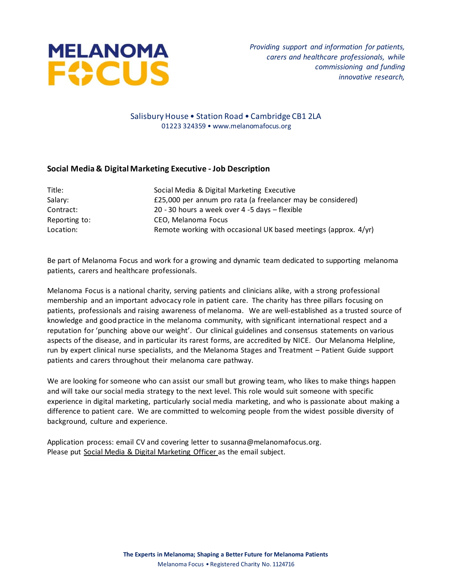

### Salisbury House • Station Road • Cambridge CB1 2LA 01223 324359 • www.melanomafocus.org

# **Social Media & Digital Marketing Executive - Job Description**

| Title:        | Social Media & Digital Marketing Executive                      |
|---------------|-----------------------------------------------------------------|
| Salary:       | £25,000 per annum pro rata (a freelancer may be considered)     |
| Contract:     | 20 - 30 hours a week over 4 -5 days - flexible                  |
| Reporting to: | CEO, Melanoma Focus                                             |
| Location:     | Remote working with occasional UK based meetings (approx. 4/yr) |
|               |                                                                 |

Be part of Melanoma Focus and work for a growing and dynamic team dedicated to supporting melanoma patients, carers and healthcare professionals.

Melanoma Focus is a national charity, serving patients and clinicians alike, with a strong professional membership and an important advocacy role in patient care. The charity has three pillars focusing on patients, professionals and raising awareness of melanoma. We are well-established as a trusted source of knowledge and good practice in the melanoma community, with significant international respect and a reputation for 'punching above our weight'. Our clinical guidelines and consensus statements on various aspects of the disease, and in particular its rarest forms, are accredited by NICE. Our Melanoma Helpline, run by expert clinical nurse specialists, and the Melanoma Stages and Treatment – Patient Guide support patients and carers throughout their melanoma care pathway.

We are looking for someone who can assist our small but growing team, who likes to make things happen and will take our social media strategy to the next level. This role would suit someone with specific experience in digital marketing, particularly social media marketing, and who is passionate about making a difference to patient care. We are committed to welcoming people from the widest possible diversity of background, culture and experience.

Application process: email CV and covering letter to susanna@melanomafocus.org. Please put Social Media & Digital Marketing Officer as the email subject.